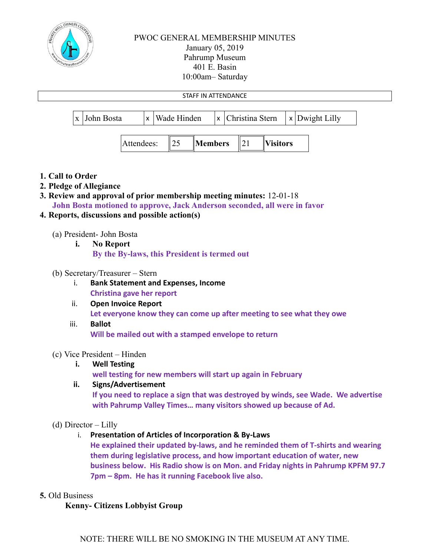

# PWOC GENERAL MEMBERSHIP MINUTES January 05, 2019 Pahrump Museum 401 E. Basin 10:00am– Saturday



- **Christina gave her report**
- ii. **Open Invoice Report Let everyone know they can come up after meeting to see what they owe**
- iii. **Ballot Will be mailed out with a stamped envelope to return**

## (c) Vice President – Hinden

**i. Well Testing**

**well testing for new members will start up again in February**

### **ii. Signs/Advertisement**

**If you need to replace a sign that was destroyed by winds, see Wade. We advertise with Pahrump Valley Times… many visitors showed up because of Ad.**

## (d) Director – Lilly

i. **Presentation of Articles of Incorporation & By-Laws**

**He explained their updated by-laws, and he reminded them of T-shirts and wearing them during legislative process, and how important education of water, new business below. His Radio show is on Mon. and Friday nights in Pahrump KPFM 97.7 7pm – 8pm. He has it running Facebook live also.**

### **5.** Old Business

### **Kenny- Citizens Lobbyist Group**